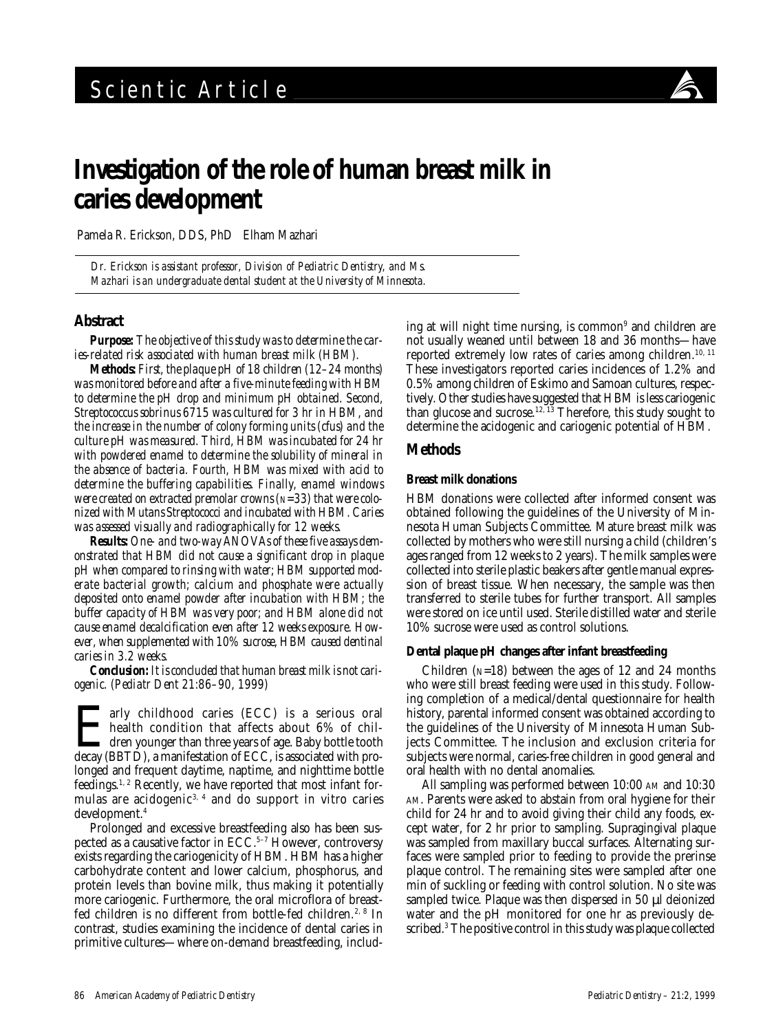

# **Investigation of the role of human breast milk in caries development**

Pamela R. Erickson, DDS, PhD Elham Mazhari

*Dr. Erickson is assistant professor, Division of Pediatric Dentistry, and Ms. Mazhari is an undergraduate dental student at the University of Minnesota.*

## **Abstract**

*Purpose: The objective of this study was to determine the caries-related risk associated with human breast milk (HBM).*

*Methods: First, the plaque pH of 18 children (12–24 months) was monitored before and after a five-minute feeding with HBM to determine the pH drop and minimum pH obtained. Second, Streptococcus sobrinus 6715 was cultured for 3 hr in HBM, and the increase in the number of colony forming units (cfus) and the culture pH was measured. Third, HBM was incubated for 24 hr with powdered enamel to determine the solubility of mineral in the absence of bacteria. Fourth, HBM was mixed with acid to determine the buffering capabilities. Finally, enamel windows were created on extracted premolar crowns (N=33) that were colonized with Mutans Streptococci and incubated with HBM. Caries was assessed visually and radiographically for 12 weeks.*

*Results: One- and two-way ANOVAs of these five assays demonstrated that HBM did not cause a significant drop in plaque pH when compared to rinsing with water; HBM supported moderate bacterial growth; calcium and phosphate were actually deposited onto enamel powder after incubation with HBM; the buffer capacity of HBM was very poor; and HBM alone did not cause enamel decalcification even after 12 weeks exposure. However, when supplemented with 10% sucrose, HBM caused dentinal caries in 3.2 weeks.*

*Conclusion: It is concluded that human breast milk is not cariogenic. (Pediatr Dent 21:86–90, 1999)*

**EXECC)** is a serious oral<br>health condition that affects about 6% of chil-<br>dren younger than three years of age. Baby bottle tooth<br>decay (BBTD), a manifestation of ECC, is associated with prohealth condition that affects about 6% of chil- $\blacktriangleleft$  dren younger than three years of age. Baby bottle tooth decay (BBTD), a manifestation of ECC, is associated with prolonged and frequent daytime, naptime, and nighttime bottle feedings.<sup>1, 2</sup> Recently, we have reported that most infant formulas are acidogenic<sup>3, 4</sup> and do support in vitro caries development.4

Prolonged and excessive breastfeeding also has been suspected as a causative factor in  $\text{ECC}.<sup>5-7</sup>$  However, controversy exists regarding the cariogenicity of HBM. HBM has a higher carbohydrate content and lower calcium, phosphorus, and protein levels than bovine milk, thus making it potentially more cariogenic. Furthermore, the oral microflora of breastfed children is no different from bottle-fed children.<sup>2, 8</sup> In contrast, studies examining the incidence of dental caries in primitive cultures—where on-demand breastfeeding, includ-

ing at will night time nursing, is common<sup>9</sup> and children are not usually weaned until between 18 and 36 months—have reported extremely low rates of caries among children.<sup>10, 11</sup> These investigators reported caries incidences of 1.2% and 0.5% among children of Eskimo and Samoan cultures, respectively. Other studies have suggested that HBM is less cariogenic than glucose and sucrose.12, 13 Therefore, this study sought to determine the acidogenic and cariogenic potential of HBM.

# **Methods**

## **Breast milk donations**

HBM donations were collected after informed consent was obtained following the guidelines of the University of Minnesota Human Subjects Committee. Mature breast milk was collected by mothers who were still nursing a child (children's ages ranged from 12 weeks to 2 years). The milk samples were collected into sterile plastic beakers after gentle manual expression of breast tissue. When necessary, the sample was then transferred to sterile tubes for further transport. All samples were stored on ice until used. Sterile distilled water and sterile 10% sucrose were used as control solutions.

## **Dental plaque pH changes after infant breastfeeding**

Children  $(N=18)$  between the ages of 12 and 24 months who were still breast feeding were used in this study. Following completion of a medical/dental questionnaire for health history, parental informed consent was obtained according to the guidelines of the University of Minnesota Human Subjects Committee. The inclusion and exclusion criteria for subjects were normal, caries-free children in good general and oral health with no dental anomalies.

All sampling was performed between 10:00 AM and 10:30 AM. Parents were asked to abstain from oral hygiene for their child for 24 hr and to avoid giving their child any foods, except water, for 2 hr prior to sampling. Supragingival plaque was sampled from maxillary buccal surfaces. Alternating surfaces were sampled prior to feeding to provide the prerinse plaque control. The remaining sites were sampled after one min of suckling or feeding with control solution. No site was sampled twice. Plaque was then dispersed in 50 µl deionized water and the pH monitored for one hr as previously described.3 The positive control in this study was plaque collected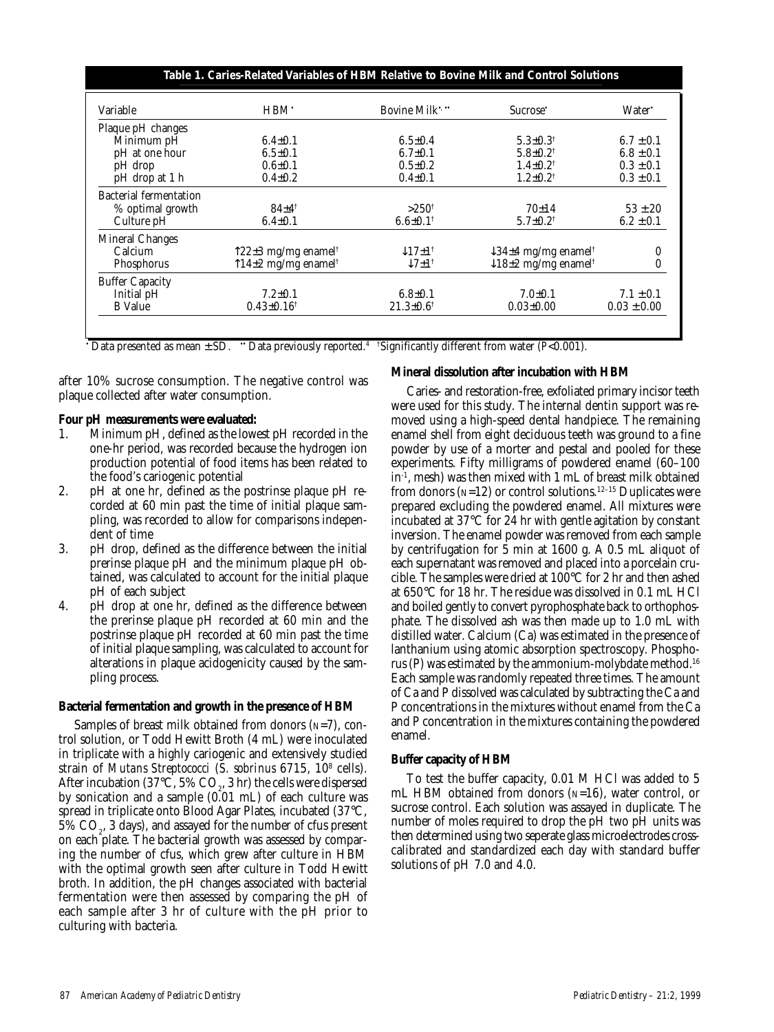| Variable                      | HBM.                                      | Bovine Milk $\cdot$                  | Sucrose <sup>•</sup>                        | Water*          |
|-------------------------------|-------------------------------------------|--------------------------------------|---------------------------------------------|-----------------|
| Plaque pH changes             |                                           |                                      |                                             |                 |
| Minimum pH                    | $6.4 \pm 0.1$                             | $6.5 \pm 0.4$                        | $5.3 \pm 0.3$ <sup>†</sup>                  | $6.7 \pm 0.1$   |
| pH at one hour                | $6.5 \pm 0.1$                             | $6.7 \pm 0.1$                        | $5.8 \pm 0.2^{\dagger}$                     | $6.8 \pm 0.1$   |
| pH drop                       | $0.6 \pm 0.1$                             | $0.5 \pm 0.2$                        | $1.4 \pm 0.2^{\dagger}$                     | $0.3 \pm 0.1$   |
| pH drop at 1 h                | $0.4 \pm 0.2$                             | $0.4 \pm 0.1$                        | $1.2 \pm 0.2^{\dagger}$                     | $0.3 \pm 0.1$   |
| <b>Bacterial fermentation</b> |                                           |                                      |                                             |                 |
| % optimal growth              | $84\pm4^{\dagger}$                        | $>250^{\dagger}$                     | 70±14                                       | $53 \pm 20$     |
| Culture pH                    | $6.4 \pm 0.1$                             | $6.6 \pm 0.1$ <sup>†</sup>           | $5.7 \pm 0.2^{\dagger}$                     | $6.2 \pm 0.1$   |
| <b>Mineral Changes</b>        |                                           |                                      |                                             |                 |
| Calcium                       | ↑22±3 mg/mg enamel†                       | $\downarrow$ 17 $\pm$ 1 <sup>†</sup> | $\downarrow$ 34±4 mg/mg enamel <sup>†</sup> | 0               |
| Phosphorus                    | $\uparrow$ 14±2 mg/mg enamel <sup>†</sup> | $\downarrow$ 7 $\pm$ 1 <sup>†</sup>  | $\downarrow$ 18±2 mg/mg enamel <sup>†</sup> | 0               |
| <b>Buffer Capacity</b>        |                                           |                                      |                                             |                 |
| Initial pH                    | $7.2 \pm 0.1$                             | $6.8 \pm 0.1$                        | $7.0 \pm 0.1$                               | $7.1 \pm 0.1$   |
| <b>B</b> Value                | $0.43 \pm 0.16^{\dagger}$                 | $21.3 \pm 0.6^{\dagger}$             | $0.03 \pm 0.00$                             | $0.03 \pm 0.00$ |

 $\, \cdot \,$  Data presented as mean  $\pm \, {\rm SD.} \, \, \, \cdot \,$  Data previously reported.4  $\,$ †Significantly different from water (*P*<0.001).

after 10% sucrose consumption. The negative control was plaque collected after water consumption.

## **Four pH measurements were evaluated:**

- 1. Minimum pH, defined as the lowest pH recorded in the one-hr period, was recorded because the hydrogen ion production potential of food items has been related to the food's cariogenic potential
- 2. pH at one hr, defined as the postrinse plaque pH recorded at 60 min past the time of initial plaque sampling, was recorded to allow for comparisons independent of time
- 3. pH drop, defined as the difference between the initial prerinse plaque pH and the minimum plaque pH obtained, was calculated to account for the initial plaque pH of each subject
- 4. pH drop at one hr, defined as the difference between the prerinse plaque pH recorded at 60 min and the postrinse plaque pH recorded at 60 min past the time of initial plaque sampling, was calculated to account for alterations in plaque acidogenicity caused by the sampling process.

#### **Bacterial fermentation and growth in the presence of HBM**

Samples of breast milk obtained from donors  $(N=7)$ , control solution, or Todd Hewitt Broth (4 mL) were inoculated in triplicate with a highly cariogenic and extensively studied strain of *Mutans Streptococci* (*S. sobrinus* 6715, 108 cells). After incubation (37°C, 5%  $CO_2$ , 3 hr) the cells were dispersed by sonication and a sample (0.01 mL) of each culture was spread in triplicate onto Blood Agar Plates, incubated (37°C,  $5\%$   $\mathrm{CO}_2$ , 3 days), and assayed for the number of cfus present on each plate. The bacterial growth was assessed by comparing the number of cfus, which grew after culture in HBM with the optimal growth seen after culture in Todd Hewitt broth. In addition, the pH changes associated with bacterial fermentation were then assessed by comparing the pH of each sample after 3 hr of culture with the pH prior to culturing with bacteria.

#### **Mineral dissolution after incubation with HBM**

Caries- and restoration-free, exfoliated primary incisor teeth were used for this study. The internal dentin support was removed using a high-speed dental handpiece. The remaining enamel shell from eight deciduous teeth was ground to a fine powder by use of a morter and pestal and pooled for these experiments. Fifty milligrams of powdered enamel (60–100 in-1, mesh) was then mixed with 1 mL of breast milk obtained from donors ( $N=12$ ) or control solutions.<sup>12-15</sup> Duplicates were prepared excluding the powdered enamel. All mixtures were incubated at 37°C for 24 hr with gentle agitation by constant inversion. The enamel powder was removed from each sample by centrifugation for 5 min at 1600 g. A 0.5 mL aliquot of each supernatant was removed and placed into a porcelain crucible. The samples were dried at 100°C for 2 hr and then ashed at 650°C for 18 hr. The residue was dissolved in 0.1 mL HCl and boiled gently to convert pyrophosphate back to orthophosphate. The dissolved ash was then made up to 1.0 mL with distilled water. Calcium (Ca) was estimated in the presence of lanthanium using atomic absorption spectroscopy. Phosphorus (P) was estimated by the ammonium-molybdate method.16 Each sample was randomly repeated three times. The amount of Ca and P dissolved was calculated by subtracting the Ca and P concentrations in the mixtures without enamel from the Ca and P concentration in the mixtures containing the powdered enamel.

#### **Buffer capacity of HBM**

To test the buffer capacity, 0.01 M HCl was added to 5 mL HBM obtained from donors  $(N=16)$ , water control, or sucrose control. Each solution was assayed in duplicate. The number of moles required to drop the pH two pH units was then determined using two seperate glass microelectrodes crosscalibrated and standardized each day with standard buffer solutions of pH 7.0 and 4.0.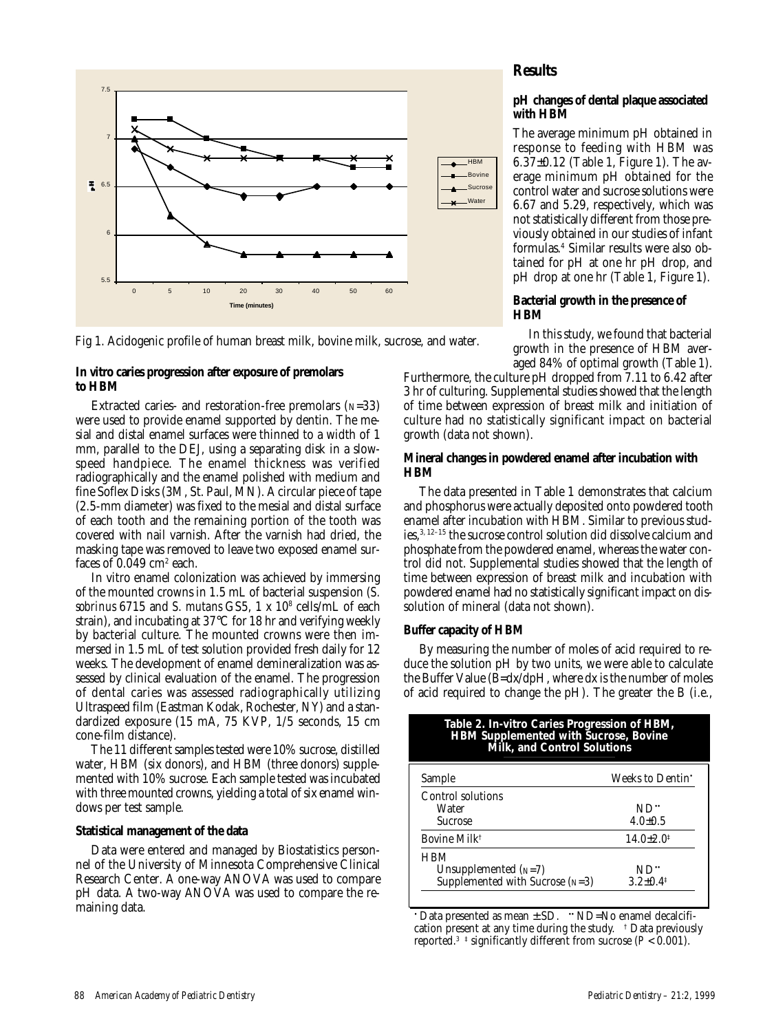



### **In vitro caries progression after exposure of premolars to HBM**

Extracted caries- and restoration-free premolars  $(N=33)$ were used to provide enamel supported by dentin. The mesial and distal enamel surfaces were thinned to a width of 1 mm, parallel to the DEJ, using a separating disk in a slowspeed handpiece. The enamel thickness was verified radiographically and the enamel polished with medium and fine Soflex Disks (3M, St. Paul, MN). A circular piece of tape (2.5-mm diameter) was fixed to the mesial and distal surface of each tooth and the remaining portion of the tooth was covered with nail varnish. After the varnish had dried, the masking tape was removed to leave two exposed enamel surfaces of  $0.049 \mathrm{~cm^2}$  each.

In vitro enamel colonization was achieved by immersing of the mounted crowns in 1.5 mL of bacterial suspension (*S. sobrinus* 6715 and *S. mutans* GS5, 1 x 108 cells/mL of each strain), and incubating at 37°C for 18 hr and verifying weekly by bacterial culture. The mounted crowns were then immersed in 1.5 mL of test solution provided fresh daily for 12 weeks. The development of enamel demineralization was assessed by clinical evaluation of the enamel. The progression of dental caries was assessed radiographically utilizing Ultraspeed film (Eastman Kodak, Rochester, NY) and a standardized exposure (15 mA, 75 KVP, 1/5 seconds, 15 cm cone-film distance).

The 11 different samples tested were 10% sucrose, distilled water, HBM (six donors), and HBM (three donors) supplemented with 10% sucrose. Each sample tested was incubated with three mounted crowns, yielding a total of six enamel windows per test sample.

#### **Statistical management of the data**

Data were entered and managed by Biostatistics personnel of the University of Minnesota Comprehensive Clinical Research Center. A one-way ANOVA was used to compare pH data. A two-way ANOVA was used to compare the remaining data.

# **Results**

## **pH changes of dental plaque associated with HBM**

The average minimum pH obtained in response to feeding with HBM was 6.37±0.12 (Table 1, Figure 1). The average minimum pH obtained for the control water and sucrose solutions were 6.67 and 5.29, respectively, which was not statistically different from those previously obtained in our studies of infant formulas.4 Similar results were also obtained for pH at one hr pH drop, and pH drop at one hr (Table 1, Figure 1).

## **Bacterial growth in the presence of HBM**

In this study, we found that bacterial growth in the presence of HBM averaged 84% of optimal growth (Table 1).

Furthermore, the culture pH dropped from 7.11 to 6.42 after 3 hr of culturing. Supplemental studies showed that the length of time between expression of breast milk and initiation of culture had no statistically significant impact on bacterial growth (data not shown).

### **Mineral changes in powdered enamel after incubation with HBM**

The data presented in Table 1 demonstrates that calcium and phosphorus were actually deposited onto powdered tooth enamel after incubation with HBM. Similar to previous studies,  ${\rm ^{3,\,12-15}}$  the sucrose control solution did dissolve calcium and phosphate from the powdered enamel, whereas the water control did not. Supplemental studies showed that the length of time between expression of breast milk and incubation with powdered enamel had no statistically significant impact on dissolution of mineral (data not shown).

## **Buffer capacity of HBM**

By measuring the number of moles of acid required to reduce the solution pH by two units, we were able to calculate the Buffer Value (B=dx/dpH, where dx is the number of moles of acid required to change the pH). The greater the B (i.e.,

| Table 2. In-vitro Caries Progression of HBM,<br>HBM Supplemented with Sucrose, Bovine<br>Milk, and Control Solutions |                           |  |  |
|----------------------------------------------------------------------------------------------------------------------|---------------------------|--|--|
| Sample                                                                                                               | Weeks to Dentin'          |  |  |
| Control solutions<br>Water                                                                                           | ND"                       |  |  |
| <b>Sucrose</b>                                                                                                       | $4.0 \pm 0.5$             |  |  |
| Bovine Milk <sup>†</sup>                                                                                             | $14.0 \pm 2.0^{\ddagger}$ |  |  |
| HBM                                                                                                                  |                           |  |  |
| Unsupplemented $(N=7)$                                                                                               | ND"                       |  |  |
| Supplemented with Sucrose $(N=3)$                                                                                    | $3.2 \pm 0.4^{\ddagger}$  |  |  |

• Data presented as mean  $\pm$  SD. • ND=No enamel decalcification present at any time during the study. † Data previously reported.<sup>3</sup> <sup> $\ddagger$ </sup> significantly different from sucrose ( $P < 0.001$ ).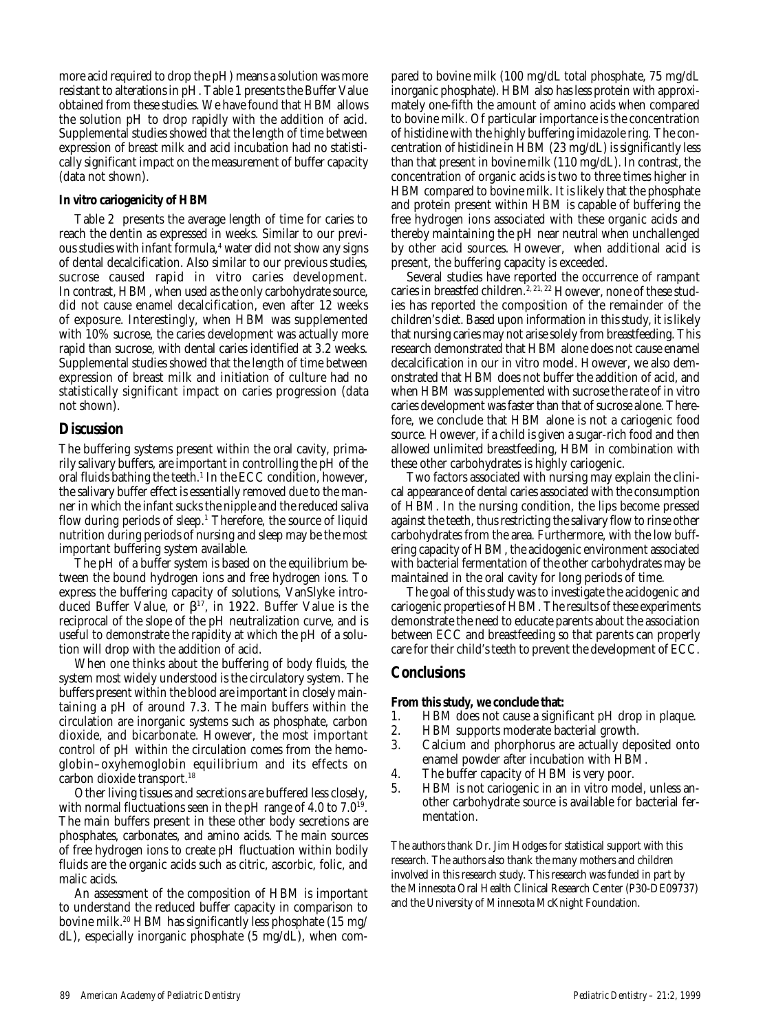more acid required to drop the pH) means a solution was more resistant to alterations in pH. Table 1 presents the Buffer Value obtained from these studies. We have found that HBM allows the solution pH to drop rapidly with the addition of acid. Supplemental studies showed that the length of time between expression of breast milk and acid incubation had no statistically significant impact on the measurement of buffer capacity (data not shown).

#### **In vitro cariogenicity of HBM**

Table 2 presents the average length of time for caries to reach the dentin as expressed in weeks. Similar to our previous studies with infant formula,<sup>4</sup> water did not show any signs of dental decalcification. Also similar to our previous studies, sucrose caused rapid in vitro caries development. In contrast, HBM, when used as the only carbohydrate source, did not cause enamel decalcification, even after 12 weeks of exposure. Interestingly, when HBM was supplemented with 10% sucrose, the caries development was actually more rapid than sucrose, with dental caries identified at 3.2 weeks. Supplemental studies showed that the length of time between expression of breast milk and initiation of culture had no statistically significant impact on caries progression (data not shown).

## **Discussion**

The buffering systems present within the oral cavity, primarily salivary buffers, are important in controlling the pH of the oral fluids bathing the teeth.<sup>1</sup> In the ECC condition, however, the salivary buffer effect is essentially removed due to the manner in which the infant sucks the nipple and the reduced saliva flow during periods of sleep.<sup>1</sup> Therefore, the source of liquid nutrition during periods of nursing and sleep may be the most important buffering system available.

The pH of a buffer system is based on the equilibrium between the bound hydrogen ions and free hydrogen ions. To express the buffering capacity of solutions, VanSlyke introduced Buffer Value, or  $\beta^{17}$ , in 1922. Buffer Value is the reciprocal of the slope of the pH neutralization curve, and is useful to demonstrate the rapidity at which the pH of a solution will drop with the addition of acid.

When one thinks about the buffering of body fluids, the system most widely understood is the circulatory system. The buffers present within the blood are important in closely maintaining a pH of around 7.3. The main buffers within the circulation are inorganic systems such as phosphate, carbon dioxide, and bicarbonate. However, the most important control of pH within the circulation comes from the hemoglobin–oxyhemoglobin equilibrium and its effects on carbon dioxide transport.18

Other living tissues and secretions are buffered less closely, with normal fluctuations seen in the pH range of 4.0 to  $7.0^{19}$ . The main buffers present in these other body secretions are phosphates, carbonates, and amino acids. The main sources of free hydrogen ions to create pH fluctuation within bodily fluids are the organic acids such as citric, ascorbic, folic, and malic acids.

An assessment of the composition of HBM is important to understand the reduced buffer capacity in comparison to bovine milk.<sup>20</sup> HBM has significantly less phosphate (15 mg/ dL), especially inorganic phosphate (5 mg/dL), when com-

pared to bovine milk (100 mg/dL total phosphate, 75 mg/dL inorganic phosphate). HBM also has less protein with approximately one-fifth the amount of amino acids when compared to bovine milk. Of particular importance is the concentration of histidine with the highly buffering imidazole ring. The concentration of histidine in HBM (23 mg/dL) is significantly less than that present in bovine milk (110 mg/dL). In contrast, the concentration of organic acids is two to three times higher in HBM compared to bovine milk. It is likely that the phosphate and protein present within HBM is capable of buffering the free hydrogen ions associated with these organic acids and thereby maintaining the pH near neutral when unchallenged by other acid sources. However, when additional acid is present, the buffering capacity is exceeded.

Several studies have reported the occurrence of rampant caries in breastfed children.<sup>2, 21, 22</sup> However, none of these studies has reported the composition of the remainder of the children's diet. Based upon information in this study, it is likely that nursing caries may not arise solely from breastfeeding. This research demonstrated that HBM alone does not cause enamel decalcification in our in vitro model. However, we also demonstrated that HBM does not buffer the addition of acid, and when HBM was supplemented with sucrose the rate of in vitro caries development was faster than that of sucrose alone. Therefore, we conclude that HBM alone is not a cariogenic food source. However, if a child is given a sugar-rich food and then allowed unlimited breastfeeding, HBM in combination with these other carbohydrates is highly cariogenic.

Two factors associated with nursing may explain the clinical appearance of dental caries associated with the consumption of HBM. In the nursing condition, the lips become pressed against the teeth, thus restricting the salivary flow to rinse other carbohydrates from the area. Furthermore, with the low buffering capacity of HBM, the acidogenic environment associated with bacterial fermentation of the other carbohydrates may be maintained in the oral cavity for long periods of time.

The goal of this study was to investigate the acidogenic and cariogenic properties of HBM. The results of these experiments demonstrate the need to educate parents about the association between ECC and breastfeeding so that parents can properly care for their child's teeth to prevent the development of ECC.

# **Conclusions**

- **From this study, we conclude that:**<br>1. **HBM** does not cause a signi 1. HBM does not cause a significant pH drop in plaque.<br>2. HBM supports moderate bacterial growth.
- 
- 2. HBM supports moderate bacterial growth.<br>3. Calcium and phorphorus are actually dep Calcium and phorphorus are actually deposited onto enamel powder after incubation with HBM.
- 
- 4. The buffer capacity of HBM is very poor.<br>5. HBM is not cariogenic in an in vitro mod HBM is not cariogenic in an in vitro model, unless another carbohydrate source is available for bacterial fermentation.

The authors thank Dr. Jim Hodges for statistical support with this research. The authors also thank the many mothers and children involved in this research study. This research was funded in part by the Minnesota Oral Health Clinical Research Center (P30-DE09737) and the University of Minnesota McKnight Foundation.